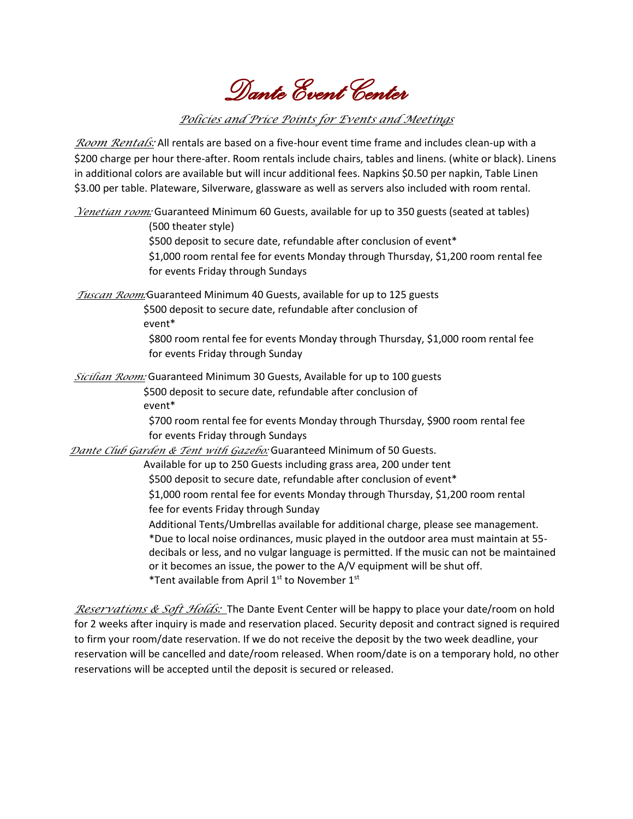*Dante Event Center* 

## *Policies and Price Points for Events and Meetings*

*Room Rentals:* All rentals are based on a five-hour event time frame and includes clean-up with a \$200 charge per hour there-after. Room rentals include chairs, tables and linens. (white or black). Linens in additional colors are available but will incur additional fees. Napkins \$0.50 per napkin, Table Linen \$3.00 per table. Plateware, Silverware, glassware as well as servers also included with room rental.

*Venetian room:* Guaranteed Minimum 60 Guests, available for up to 350 guests (seated at tables) (500 theater style) \$500 deposit to secure date, refundable after conclusion of event\* \$1,000 room rental fee for events Monday through Thursday, \$1,200 room rental fee for events Friday through Sundays

*Tuscan Room:*Guaranteed Minimum 40 Guests, available for up to 125 guests \$500 deposit to secure date, refundable after conclusion of event\*

\$800 room rental fee for events Monday through Thursday, \$1,000 room rental fee for events Friday through Sunday

*Sicilian Room:* Guaranteed Minimum 30 Guests, Available for up to 100 guests \$500 deposit to secure date, refundable after conclusion of event\*

\$700 room rental fee for events Monday through Thursday, \$900 room rental fee for events Friday through Sundays

*Dante Club Garden & Tent with Gazebo:* Guaranteed Minimum of 50 Guests.

Available for up to 250 Guests including grass area, 200 under tent \$500 deposit to secure date, refundable after conclusion of event\* \$1,000 room rental fee for events Monday through Thursday, \$1,200 room rental fee for events Friday through Sunday Additional Tents/Umbrellas available for additional charge, please see management. \*Due to local noise ordinances, music played in the outdoor area must maintain at 55 decibals or less, and no vulgar language is permitted. If the music can not be maintained or it becomes an issue, the power to the A/V equipment will be shut off. \*Tent available from April 1<sup>st</sup> to November 1<sup>st</sup>

*Reservations & Soft Holds:* The Dante Event Center will be happy to place your date/room on hold for 2 weeks after inquiry is made and reservation placed. Security deposit and contract signed is required to firm your room/date reservation. If we do not receive the deposit by the two week deadline, your reservation will be cancelled and date/room released. When room/date is on a temporary hold, no other reservations will be accepted until the deposit is secured or released.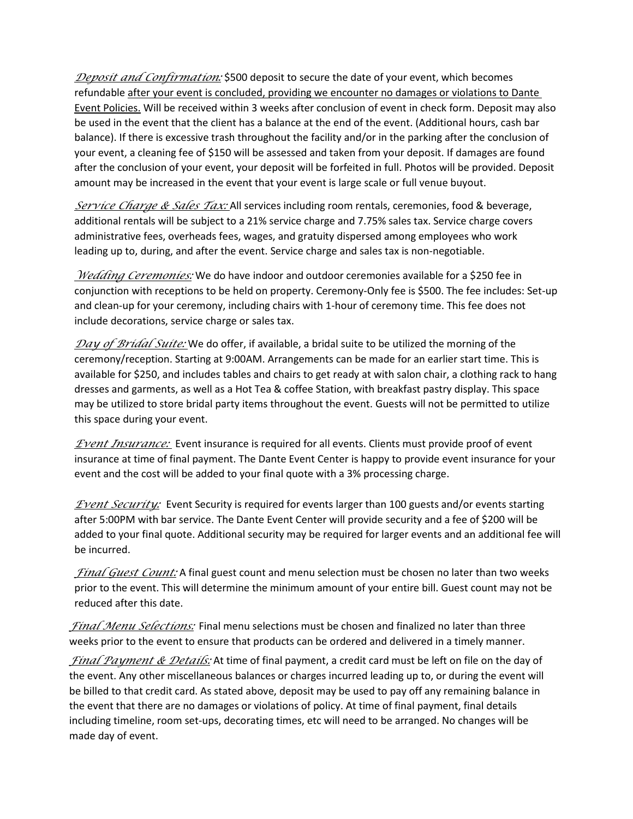*Deposit and Confirmation:* \$500 deposit to secure the date of your event, which becomes refundable after your event is concluded, providing we encounter no damages or violations to Dante Event Policies. Will be received within 3 weeks after conclusion of event in check form. Deposit may also be used in the event that the client has a balance at the end of the event. (Additional hours, cash bar balance). If there is excessive trash throughout the facility and/or in the parking after the conclusion of your event, a cleaning fee of \$150 will be assessed and taken from your deposit. If damages are found after the conclusion of your event, your deposit will be forfeited in full. Photos will be provided. Deposit amount may be increased in the event that your event is large scale or full venue buyout.

*Service Charge & Sales Tax:* All services including room rentals, ceremonies, food & beverage, additional rentals will be subject to a 21% service charge and 7.75% sales tax. Service charge covers administrative fees, overheads fees, wages, and gratuity dispersed among employees who work leading up to, during, and after the event. Service charge and sales tax is non-negotiable.

*Wedding Ceremonies:* We do have indoor and outdoor ceremonies available for a \$250 fee in conjunction with receptions to be held on property. Ceremony-Only fee is \$500. The fee includes: Set-up and clean-up for your ceremony, including chairs with 1-hour of ceremony time. This fee does not include decorations, service charge or sales tax.

*Day of Bridal Suite:* We do offer, if available, a bridal suite to be utilized the morning of the ceremony/reception. Starting at 9:00AM. Arrangements can be made for an earlier start time. This is available for \$250, and includes tables and chairs to get ready at with salon chair, a clothing rack to hang dresses and garments, as well as a Hot Tea & coffee Station, with breakfast pastry display. This space may be utilized to store bridal party items throughout the event. Guests will not be permitted to utilize this space during your event.

*Event Insurance:* Event insurance is required for all events. Clients must provide proof of event insurance at time of final payment. The Dante Event Center is happy to provide event insurance for your event and the cost will be added to your final quote with a 3% processing charge.

*Event Security:* Event Security is required for events larger than 100 guests and/or events starting after 5:00PM with bar service. The Dante Event Center will provide security and a fee of \$200 will be added to your final quote. Additional security may be required for larger events and an additional fee will be incurred.

*Final Guest Count:* A final guest count and menu selection must be chosen no later than two weeks prior to the event. This will determine the minimum amount of your entire bill. Guest count may not be reduced after this date.

*Final Menu Selections:* Final menu selections must be chosen and finalized no later than three weeks prior to the event to ensure that products can be ordered and delivered in a timely manner.

*Final Payment & Details:* At time of final payment, a credit card must be left on file on the day of the event. Any other miscellaneous balances or charges incurred leading up to, or during the event will be billed to that credit card. As stated above, deposit may be used to pay off any remaining balance in the event that there are no damages or violations of policy. At time of final payment, final details including timeline, room set-ups, decorating times, etc will need to be arranged. No changes will be made day of event.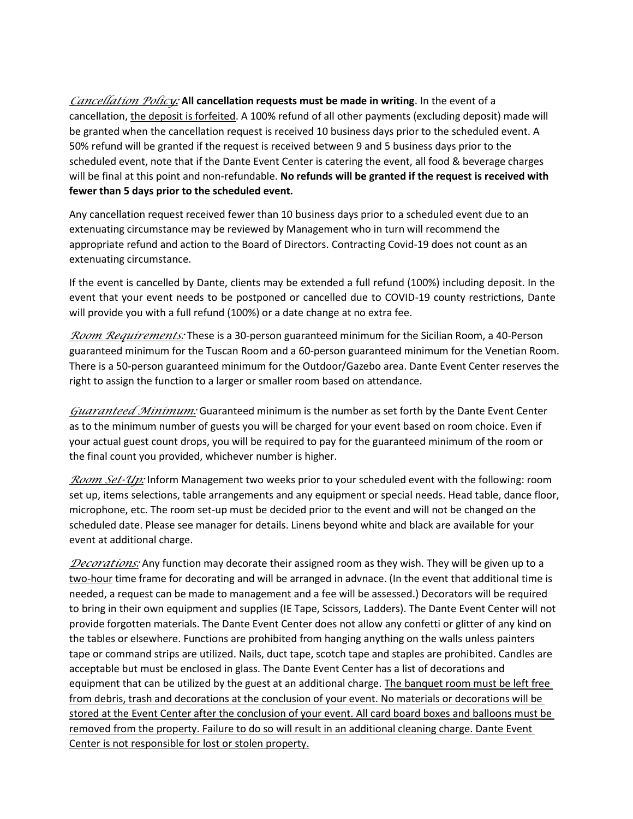*Cancellation Policy:* **All cancellation requests must be made in writing**. In the event of a cancellation, the deposit is forfeited. A 100% refund of all other payments (excluding deposit) made will be granted when the cancellation request is received 10 business days prior to the scheduled event. A 50% refund will be granted if the request is received between 9 and 5 business days prior to the scheduled event, note that if the Dante Event Center is catering the event, all food & beverage charges will be final at this point and non-refundable. **No refunds will be granted if the request is received with fewer than 5 days prior to the scheduled event.**

Any cancellation request received fewer than 10 business days prior to a scheduled event due to an extenuating circumstance may be reviewed by Management who in turn will recommend the appropriate refund and action to the Board of Directors. Contracting Covid-19 does not count as an extenuating circumstance.

If the event is cancelled by Dante, clients may be extended a full refund (100%) including deposit. In the event that your event needs to be postponed or cancelled due to COVID-19 county restrictions, Dante will provide you with a full refund (100%) or a date change at no extra fee.

*Room Requirements:* These is a 30-person guaranteed minimum for the Sicilian Room, a 40-Person guaranteed minimum for the Tuscan Room and a 60-person guaranteed minimum for the Venetian Room. There is a 50-person guaranteed minimum for the Outdoor/Gazebo area. Dante Event Center reserves the right to assign the function to a larger or smaller room based on attendance.

*Guaranteed Minimum:* Guaranteed minimum is the number as set forth by the Dante Event Center as to the minimum number of guests you will be charged for your event based on room choice. Even if your actual guest count drops, you will be required to pay for the guaranteed minimum of the room or the final count you provided, whichever number is higher.

*Room Set-Up:* Inform Management two weeks prior to your scheduled event with the following: room set up, items selections, table arrangements and any equipment or special needs. Head table, dance floor, microphone, etc. The room set-up must be decided prior to the event and will not be changed on the scheduled date. Please see manager for details. Linens beyond white and black are available for your event at additional charge.

*Decorations:* Any function may decorate their assigned room as they wish. They will be given up to a two-hour time frame for decorating and will be arranged in advnace. (In the event that additional time is needed, a request can be made to management and a fee will be assessed.) Decorators will be required to bring in their own equipment and supplies (IE Tape, Scissors, Ladders). The Dante Event Center will not provide forgotten materials. The Dante Event Center does not allow any confetti or glitter of any kind on the tables or elsewhere. Functions are prohibited from hanging anything on the walls unless painters tape or command strips are utilized. Nails, duct tape, scotch tape and staples are prohibited. Candles are acceptable but must be enclosed in glass. The Dante Event Center has a list of decorations and equipment that can be utilized by the guest at an additional charge. The banquet room must be left free from debris, trash and decorations at the conclusion of your event. No materials or decorations will be stored at the Event Center after the conclusion of your event. All card board boxes and balloons must be removed from the property. Failure to do so will result in an additional cleaning charge. Dante Event Center is not responsible for lost or stolen property.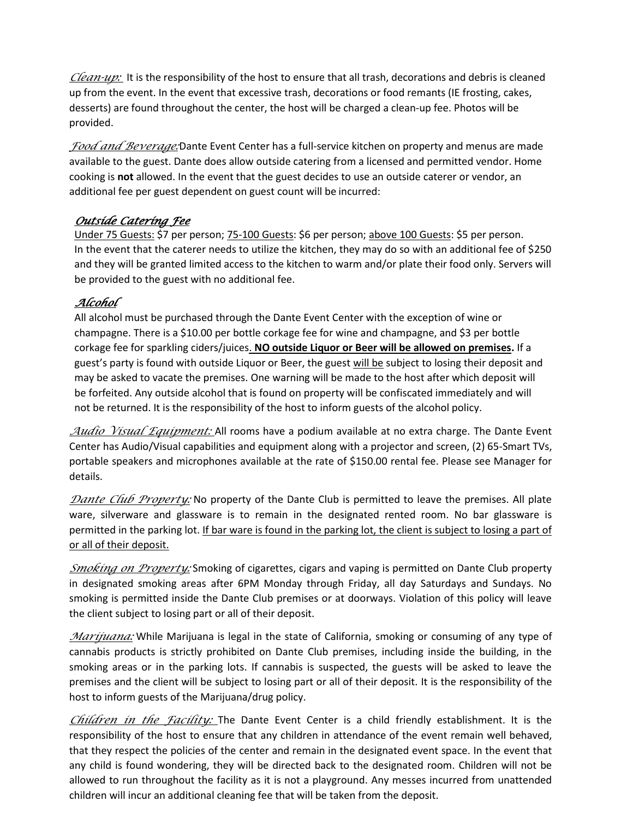*Clean-up:* It is the responsibility of the host to ensure that all trash, decorations and debris is cleaned up from the event. In the event that excessive trash, decorations or food remants (IE frosting, cakes, desserts) are found throughout the center, the host will be charged a clean-up fee. Photos will be provided.

*Food and Beverage:*Dante Event Center has a full-service kitchen on property and menus are made available to the guest. Dante does allow outside catering from a licensed and permitted vendor. Home cooking is **not** allowed. In the event that the guest decides to use an outside caterer or vendor, an additional fee per guest dependent on guest count will be incurred:

## *Outside Catering Fee*

Under 75 Guests: \$7 per person; 75-100 Guests: \$6 per person; above 100 Guests: \$5 per person. In the event that the caterer needs to utilize the kitchen, they may do so with an additional fee of \$250 and they will be granted limited access to the kitchen to warm and/or plate their food only. Servers will be provided to the guest with no additional fee.

## *Alcohol*

All alcohol must be purchased through the Dante Event Center with the exception of wine or champagne. There is a \$10.00 per bottle corkage fee for wine and champagne, and \$3 per bottle corkage fee for sparkling ciders/juices. **NO outside Liquor or Beer will be allowed on premises.** If a guest's party is found with outside Liquor or Beer, the guest will be subject to losing their deposit and may be asked to vacate the premises. One warning will be made to the host after which deposit will be forfeited. Any outside alcohol that is found on property will be confiscated immediately and will not be returned. It is the responsibility of the host to inform guests of the alcohol policy.

*Audio Visual Equipment:* All rooms have a podium available at no extra charge. The Dante Event Center has Audio/Visual capabilities and equipment along with a projector and screen, (2) 65-Smart TVs, portable speakers and microphones available at the rate of \$150.00 rental fee. Please see Manager for details.

*Dante Club Property:* No property of the Dante Club is permitted to leave the premises. All plate ware, silverware and glassware is to remain in the designated rented room. No bar glassware is permitted in the parking lot. If bar ware is found in the parking lot, the client is subject to losing a part of or all of their deposit.

*Smoking on Property:* Smoking of cigarettes, cigars and vaping is permitted on Dante Club property in designated smoking areas after 6PM Monday through Friday, all day Saturdays and Sundays. No smoking is permitted inside the Dante Club premises or at doorways. Violation of this policy will leave the client subject to losing part or all of their deposit.

*Marijuana:* While Marijuana is legal in the state of California, smoking or consuming of any type of cannabis products is strictly prohibited on Dante Club premises, including inside the building, in the smoking areas or in the parking lots. If cannabis is suspected, the guests will be asked to leave the premises and the client will be subject to losing part or all of their deposit. It is the responsibility of the host to inform guests of the Marijuana/drug policy.

*Children in the Facility:* The Dante Event Center is a child friendly establishment. It is the responsibility of the host to ensure that any children in attendance of the event remain well behaved, that they respect the policies of the center and remain in the designated event space. In the event that any child is found wondering, they will be directed back to the designated room. Children will not be allowed to run throughout the facility as it is not a playground. Any messes incurred from unattended children will incur an additional cleaning fee that will be taken from the deposit.